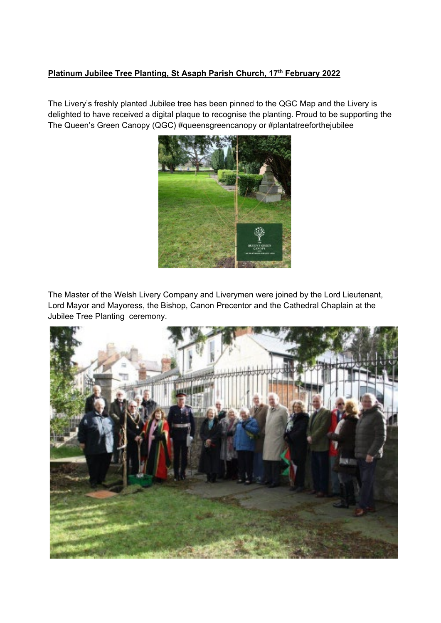## **Platinum Jubilee Tree Planting, St Asaph Parish Church, 17th February 2022**

The Livery's freshly planted Jubilee tree has been pinned to the QGC Map and the Livery is delighted to have received a digital plaque to recognise the planting. Proud to be supporting the The Queen's Green Canopy (QGC) #queensgreencanopy or #plantatreeforthejubilee



The Master of the Welsh Livery Company and Liverymen were joined by the Lord Lieutenant, Lord Mayor and Mayoress, the Bishop, Canon Precentor and the Cathedral Chaplain at the Jubilee Tree Planting ceremony.